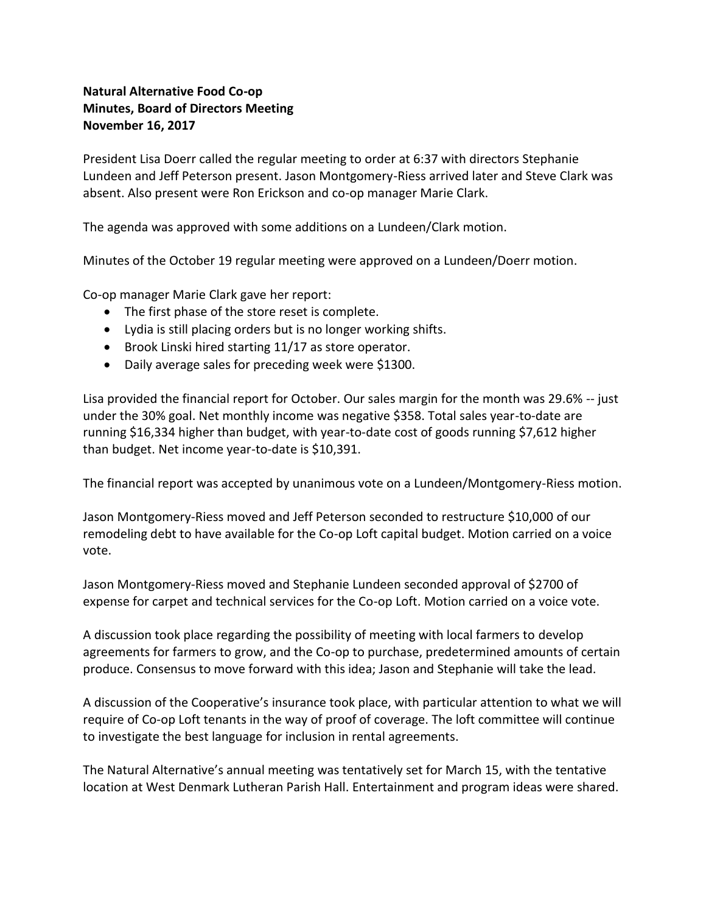## **Natural Alternative Food Co-op Minutes, Board of Directors Meeting November 16, 2017**

President Lisa Doerr called the regular meeting to order at 6:37 with directors Stephanie Lundeen and Jeff Peterson present. Jason Montgomery-Riess arrived later and Steve Clark was absent. Also present were Ron Erickson and co-op manager Marie Clark.

The agenda was approved with some additions on a Lundeen/Clark motion.

Minutes of the October 19 regular meeting were approved on a Lundeen/Doerr motion.

Co-op manager Marie Clark gave her report:

- The first phase of the store reset is complete.
- Lydia is still placing orders but is no longer working shifts.
- Brook Linski hired starting 11/17 as store operator.
- Daily average sales for preceding week were \$1300.

Lisa provided the financial report for October. Our sales margin for the month was 29.6% -- just under the 30% goal. Net monthly income was negative \$358. Total sales year-to-date are running \$16,334 higher than budget, with year-to-date cost of goods running \$7,612 higher than budget. Net income year-to-date is \$10,391.

The financial report was accepted by unanimous vote on a Lundeen/Montgomery-Riess motion.

Jason Montgomery-Riess moved and Jeff Peterson seconded to restructure \$10,000 of our remodeling debt to have available for the Co-op Loft capital budget. Motion carried on a voice vote.

Jason Montgomery-Riess moved and Stephanie Lundeen seconded approval of \$2700 of expense for carpet and technical services for the Co-op Loft. Motion carried on a voice vote.

A discussion took place regarding the possibility of meeting with local farmers to develop agreements for farmers to grow, and the Co-op to purchase, predetermined amounts of certain produce. Consensus to move forward with this idea; Jason and Stephanie will take the lead.

A discussion of the Cooperative's insurance took place, with particular attention to what we will require of Co-op Loft tenants in the way of proof of coverage. The loft committee will continue to investigate the best language for inclusion in rental agreements.

The Natural Alternative's annual meeting was tentatively set for March 15, with the tentative location at West Denmark Lutheran Parish Hall. Entertainment and program ideas were shared.